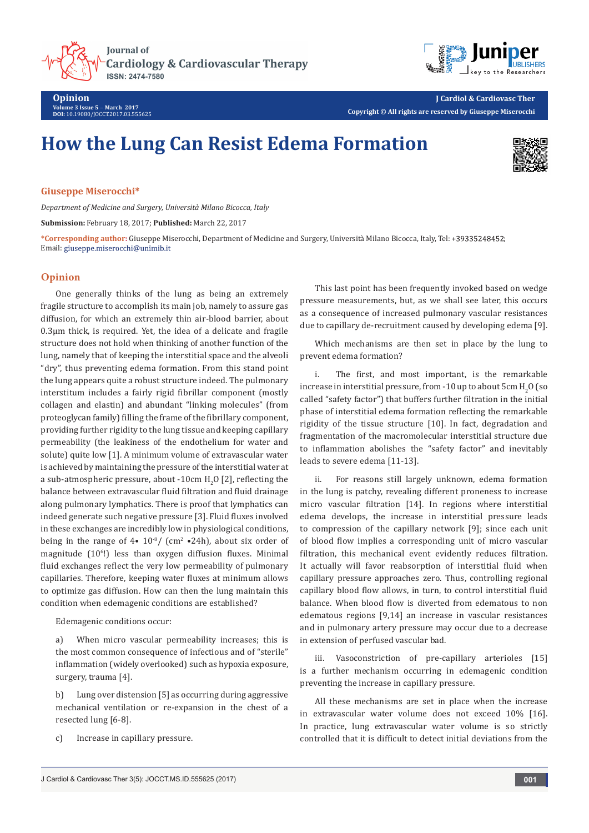**Journal of Cardiology & Cardiovascular Therapy ISSN: 2474-7580** 



**Opinion Volume 3 Issue 5** - **March 2017 DOI:** [10.19080/JOCCT.2017.03.555625](http://dx.doi.org/10.19080/JOCCT.2017.03.555625
)

**J Cardiol & Cardiovasc Ther Copyright © All rights are reserved by Giuseppe Miserocchi**

# **How the Lung Can Resist Edema Formation**



**Giuseppe Miserocchi\***

*Department of Medicine and Surgery, Università Milano Bicocca, Italy*

**Submission:** February 18, 2017; **Published:** March 22, 2017

**\*Corresponding author:** Giuseppe Miserocchi, Department of Medicine and Surgery, Università Milano Bicocca, Italy, Tel: ; Email: giuseppe.miserocchi@unimib.it

## **Opinion**

One generally thinks of the lung as being an extremely fragile structure to accomplish its main job, namely to assure gas diffusion, for which an extremely thin air-blood barrier, about 0.3µm thick, is required. Yet, the idea of a delicate and fragile structure does not hold when thinking of another function of the lung, namely that of keeping the interstitial space and the alveoli "dry", thus preventing edema formation. From this stand point the lung appears quite a robust structure indeed. The pulmonary interstitum includes a fairly rigid fibrillar component (mostly collagen and elastin) and abundant "linking molecules" (from proteoglycan family) filling the frame of the fibrillary component, providing further rigidity to the lung tissue and keeping capillary permeability (the leakiness of the endothelium for water and solute) quite low [1]. A minimum volume of extravascular water is achieved by maintaining the pressure of the interstitial water at a sub-atmospheric pressure, about -10 $\rm cm$  H<sub>2</sub>O [2], reflecting the balance between extravascular fluid filtration and fluid drainage along pulmonary lymphatics. There is proof that lymphatics can indeed generate such negative pressure [3]. Fluid fluxes involved in these exchanges are incredibly low in physiological conditions, being in the range of  $4\bullet 10^{8}/$  (cm<sup>2</sup>  $\bullet 24h$ ), about six order of magnitude (10<sup>6</sup> !) less than oxygen diffusion fluxes. Minimal fluid exchanges reflect the very low permeability of pulmonary capillaries. Therefore, keeping water fluxes at minimum allows to optimize gas diffusion. How can then the lung maintain this condition when edemagenic conditions are established?

Edemagenic conditions occur:

a) When micro vascular permeability increases; this is the most common consequence of infectious and of "sterile" inflammation (widely overlooked) such as hypoxia exposure, surgery, trauma [4].

b) Lung over distension [5] as occurring during aggressive mechanical ventilation or re-expansion in the chest of a resected lung [6-8].

c) Increase in capillary pressure.

This last point has been frequently invoked based on wedge pressure measurements, but, as we shall see later, this occurs as a consequence of increased pulmonary vascular resistances due to capillary de-recruitment caused by developing edema [9].

Which mechanisms are then set in place by the lung to prevent edema formation?

The first, and most important, is the remarkable increase in interstitial pressure, from -10 up to about  $\rm 5cm\,H_2O$  (so called "safety factor") that buffers further filtration in the initial phase of interstitial edema formation reflecting the remarkable rigidity of the tissue structure [10]. In fact, degradation and fragmentation of the macromolecular interstitial structure due to inflammation abolishes the "safety factor" and inevitably leads to severe edema [11-13].

ii. For reasons still largely unknown, edema formation in the lung is patchy, revealing different proneness to increase micro vascular filtration [14]. In regions where interstitial edema develops, the increase in interstitial pressure leads to compression of the capillary network [9]; since each unit of blood flow implies a corresponding unit of micro vascular filtration, this mechanical event evidently reduces filtration. It actually will favor reabsorption of interstitial fluid when capillary pressure approaches zero. Thus, controlling regional capillary blood flow allows, in turn, to control interstitial fluid balance. When blood flow is diverted from edematous to non edematous regions [9,14] an increase in vascular resistances and in pulmonary artery pressure may occur due to a decrease in extension of perfused vascular bad.

iii. Vasoconstriction of pre-capillary arterioles [15] is a further mechanism occurring in edemagenic condition preventing the increase in capillary pressure.

All these mechanisms are set in place when the increase in extravascular water volume does not exceed 10% [16]. In practice, lung extravascular water volume is so strictly controlled that it is difficult to detect initial deviations from the